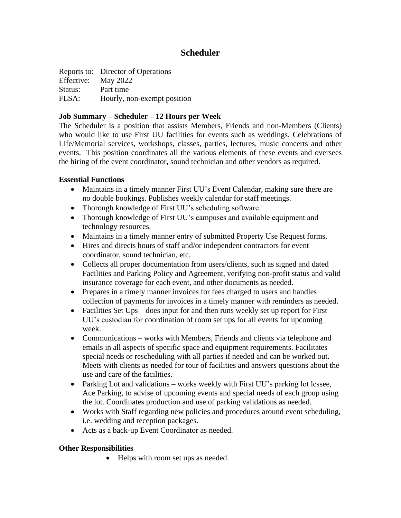# **Scheduler**

|                     | Reports to: Director of Operations |
|---------------------|------------------------------------|
| Effective: May 2022 |                                    |
| Status:             | Part time                          |
| FLSA:               | Hourly, non-exempt position        |

### **Job Summary – Scheduler – 12 Hours per Week**

The Scheduler is a position that assists Members, Friends and non-Members (Clients) who would like to use First UU facilities for events such as weddings, Celebrations of Life/Memorial services, workshops, classes, parties, lectures, music concerts and other events. This position coordinates all the various elements of these events and oversees the hiring of the event coordinator, sound technician and other vendors as required.

### **Essential Functions**

- Maintains in a timely manner First UU's Event Calendar, making sure there are no double bookings. Publishes weekly calendar for staff meetings.
- Thorough knowledge of First UU's scheduling software.
- Thorough knowledge of First UU's campuses and available equipment and technology resources.
- Maintains in a timely manner entry of submitted Property Use Request forms.
- Hires and directs hours of staff and/or independent contractors for event coordinator, sound technician, etc.
- Collects all proper documentation from users/clients, such as signed and dated Facilities and Parking Policy and Agreement, verifying non-profit status and valid insurance coverage for each event, and other documents as needed.
- Prepares in a timely manner invoices for fees charged to users and handles collection of payments for invoices in a timely manner with reminders as needed.
- Facilities Set Ups does input for and then runs weekly set up report for First UU's custodian for coordination of room set ups for all events for upcoming week.
- Communications works with Members, Friends and clients via telephone and emails in all aspects of specific space and equipment requirements. Facilitates special needs or rescheduling with all parties if needed and can be worked out. Meets with clients as needed for tour of facilities and answers questions about the use and care of the facilities.
- Parking Lot and validations works weekly with First UU's parking lot lessee, Ace Parking, to advise of upcoming events and special needs of each group using the lot. Coordinates production and use of parking validations as needed.
- Works with Staff regarding new policies and procedures around event scheduling, i.e. wedding and reception packages.
- Acts as a back-up Event Coordinator as needed.

# **Other Responsibilities**

• Helps with room set ups as needed.